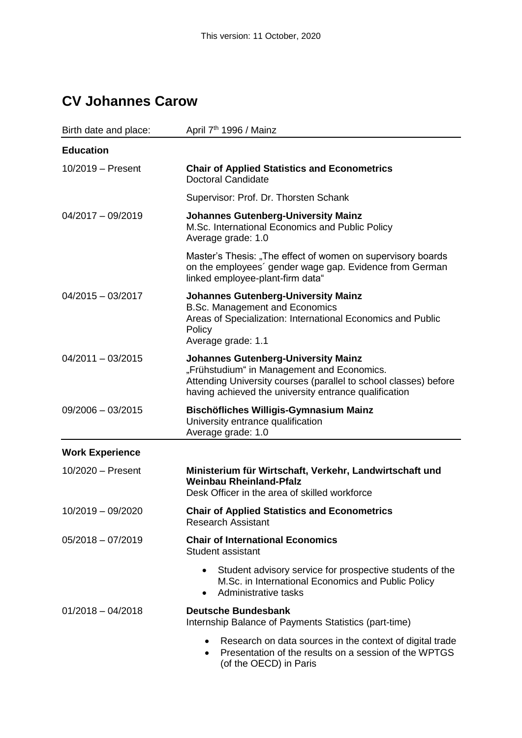# **CV Johannes Carow**

| Birth date and place:  | April 7 <sup>th</sup> 1996 / Mainz                                                                                                                                                                                    |
|------------------------|-----------------------------------------------------------------------------------------------------------------------------------------------------------------------------------------------------------------------|
| <b>Education</b>       |                                                                                                                                                                                                                       |
| $10/2019$ – Present    | <b>Chair of Applied Statistics and Econometrics</b><br><b>Doctoral Candidate</b>                                                                                                                                      |
|                        | Supervisor: Prof. Dr. Thorsten Schank                                                                                                                                                                                 |
| $04/2017 - 09/2019$    | <b>Johannes Gutenberg-University Mainz</b><br>M.Sc. International Economics and Public Policy<br>Average grade: 1.0                                                                                                   |
|                        | Master's Thesis: "The effect of women on supervisory boards<br>on the employees' gender wage gap. Evidence from German<br>linked employee-plant-firm data"                                                            |
| $04/2015 - 03/2017$    | <b>Johannes Gutenberg-University Mainz</b><br><b>B.Sc. Management and Economics</b><br>Areas of Specialization: International Economics and Public<br>Policy<br>Average grade: 1.1                                    |
| $04/2011 - 03/2015$    | <b>Johannes Gutenberg-University Mainz</b><br>"Frühstudium" in Management and Economics.<br>Attending University courses (parallel to school classes) before<br>having achieved the university entrance qualification |
| $09/2006 - 03/2015$    | <b>Bischöfliches Willigis-Gymnasium Mainz</b><br>University entrance qualification<br>Average grade: 1.0                                                                                                              |
| <b>Work Experience</b> |                                                                                                                                                                                                                       |
| $10/2020$ - Present    | Ministerium für Wirtschaft, Verkehr, Landwirtschaft und<br><b>Weinbau Rheinland-Pfalz</b><br>Desk Officer in the area of skilled workforce                                                                            |
| 10/2019 - 09/2020      | <b>Chair of Applied Statistics and Econometrics</b><br><b>Research Assistant</b>                                                                                                                                      |
| $05/2018 - 07/2019$    | <b>Chair of International Economics</b><br>Student assistant                                                                                                                                                          |
|                        | Student advisory service for prospective students of the<br>M.Sc. in International Economics and Public Policy<br>Administrative tasks<br>$\bullet$                                                                   |
| $01/2018 - 04/2018$    | <b>Deutsche Bundesbank</b><br>Internship Balance of Payments Statistics (part-time)                                                                                                                                   |
|                        | Research on data sources in the context of digital trade<br>٠<br>Presentation of the results on a session of the WPTGS<br>$\bullet$<br>(of the OECD) in Paris                                                         |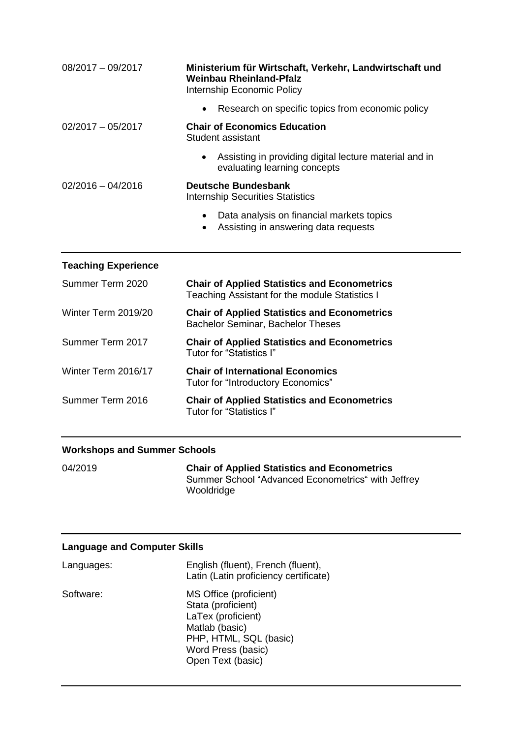| $08/2017 - 09/2017$ | Ministerium für Wirtschaft, Verkehr, Landwirtschaft und<br>Weinbau Rheinland-Pfalz<br>Internship Economic Policy |
|---------------------|------------------------------------------------------------------------------------------------------------------|
|                     | Research on specific topics from economic policy<br>$\bullet$                                                    |
| $02/2017 - 05/2017$ | <b>Chair of Economics Education</b><br>Student assistant                                                         |
|                     | Assisting in providing digital lecture material and in<br>$\bullet$<br>evaluating learning concepts              |
| $02/2016 - 04/2016$ | Deutsche Bundesbank<br><b>Internship Securities Statistics</b>                                                   |
|                     | Data analysis on financial markets topics<br>Assisting in answering data requests<br>$\bullet$                   |

#### **Teaching Experience**

| Summer Term 2020    | <b>Chair of Applied Statistics and Econometrics</b><br>Teaching Assistant for the module Statistics I |
|---------------------|-------------------------------------------------------------------------------------------------------|
| Winter Term 2019/20 | <b>Chair of Applied Statistics and Econometrics</b><br><b>Bachelor Seminar, Bachelor Theses</b>       |
| Summer Term 2017    | <b>Chair of Applied Statistics and Econometrics</b><br>Tutor for "Statistics I"                       |
| Winter Term 2016/17 | <b>Chair of International Economics</b><br>Tutor for "Introductory Economics"                         |
| Summer Term 2016    | <b>Chair of Applied Statistics and Econometrics</b><br>Tutor for "Statistics I"                       |

## **Workshops and Summer Schools**

04/2019 **Chair of Applied Statistics and Econometrics** Summer School "Advanced Econometrics" with Jeffrey Wooldridge

## **Language and Computer Skills**

| Languages: | English (fluent), French (fluent),<br>Latin (Latin proficiency certificate)                                                                               |
|------------|-----------------------------------------------------------------------------------------------------------------------------------------------------------|
| Software:  | MS Office (proficient)<br>Stata (proficient)<br>LaTex (proficient)<br>Matlab (basic)<br>PHP, HTML, SQL (basic)<br>Word Press (basic)<br>Open Text (basic) |